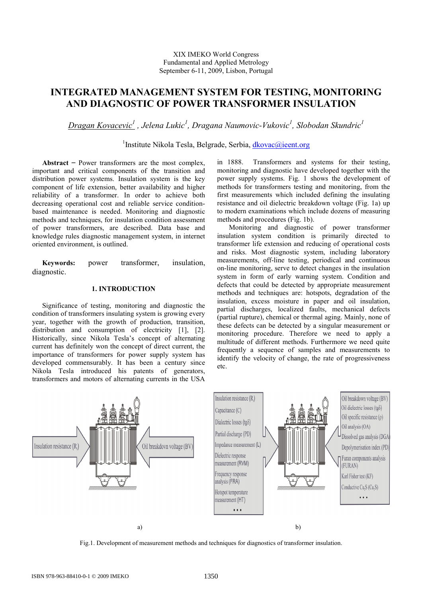# INTEGRATED MANAGEMENT SYSTEM FOR TESTING, MONITORING AND DIAGNOSTIC OF POWER TRANSFORMER INSULATION

<u>Dragan Kovacevic<sup>1</sup></u> , Jelena Lukic<sup>1</sup>, Dragana Naumovic-Vukovic<sup>1</sup>, Slobodan Skundric<sup>1</sup>

<sup>1</sup>Institute Nikola Tesla, Belgrade, Serbia, **dkovac@ieent.org** 

Abstract  $-$  Power transformers are the most complex, important and critical components of the transition and distribution power systems. Insulation system is the key component of life extension, better availability and higher reliability of a transformer. In order to achieve both decreasing operational cost and reliable service conditionbased maintenance is needed. Monitoring and diagnostic methods and techniques, for insulation condition assessment of power transformers, are described. Data base and knowledge rules diagnostic management system, in internet oriented environment, is outlined.

Keywords: power transformer, insulation, diagnostic.

## 1. INTRODUCTION

Significance of testing, monitoring and diagnostic the condition of transformers insulating system is growing every year, together with the growth of production, transition, distribution and consumption of electricity [1], [2]. Historically, since Nikola Tesla's concept of alternating current has definitely won the concept of direct current, the importance of transformers for power supply system has developed commensurably. It has been a century since Nikola Tesla introduced his patents of generators, transformers and motors of alternating currents in the USA

in 1888. Transformers and systems for their testing, monitoring and diagnostic have developed together with the power supply systems. Fig. 1 shows the development of methods for transformers testing and monitoring, from the first measurements which included defining the insulating resistance and oil dielectric breakdown voltage (Fig. 1a) up to modern examinations which include dozens of measuring methods and procedures (Fig. 1b).

 Monitoring and diagnostic of power transformer insulation system condition is primarily directed to transformer life extension and reducing of operational costs and risks. Most diagnostic system, including laboratory measurements, off-line testing, periodical and continuous on-line monitoring, serve to detect changes in the insulation system in form of early warning system. Condition and defects that could be detected by appropriate measurement methods and techniques are: hotspots, degradation of the insulation, excess moisture in paper and oil insulation, partial discharges, localized faults, mechanical defects (partial rupture), chemical or thermal aging. Mainly, none of these defects can be detected by a singular measurement or monitoring procedure. Therefore we need to apply a multitude of different methods. Furthermore we need quite frequently a sequence of samples and measurements to identify the velocity of change, the rate of progressiveness etc.



Fig.1. Development of measurement methods and techniques for diagnostics of transformer insulation.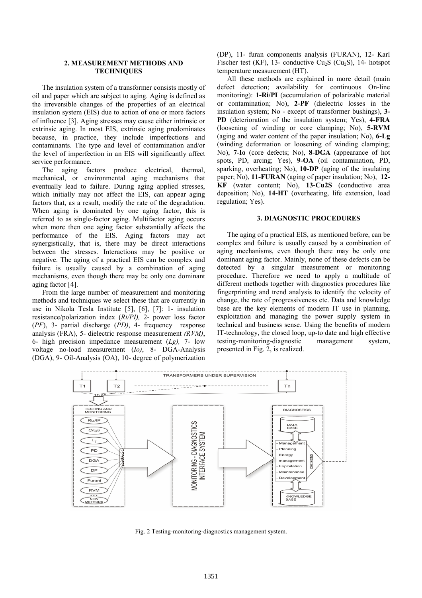## 2. MEASUREMENT METHODS AND **TECHNIQUES**

The insulation system of a transformer consists mostly of oil and paper which are subject to aging. Aging is defined as the irreversible changes of the properties of an electrical insulation system (EIS) due to action of one or more factors of influence [3]. Aging stresses may cause either intrinsic or extrinsic aging. In most EIS, extrinsic aging predominates because, in practice, they include imperfections and contaminants. The type and level of contamination and/or the level of imperfection in an EIS will significantly affect service performance.

The aging factors produce electrical, thermal, mechanical, or environmental aging mechanisms that eventually lead to failure. During aging applied stresses, which initially may not affect the EIS, can appear aging factors that, as a result, modify the rate of the degradation. When aging is dominated by one aging factor, this is referred to as single-factor aging. Multifactor aging occurs when more then one aging factor substantially affects the performance of the EIS. Aging factors may act synergistically, that is, there may be direct interactions between the stresses. Interactions may be positive or negative. The aging of a practical EIS can be complex and failure is usually caused by a combination of aging mechanisms, even though there may be only one dominant aging factor [4].

From the large number of measurement and monitoring methods and techniques we select these that are currently in use in Nikola Tesla Institute [5], [6], [7]: 1- insulation resistance/polarization index (Ri/PI), 2- power loss factor (PF), 3- partial discharge (PD), 4- frequency response analysis (FRA), 5- dielectric response measurement (RVM), 6- high precision impedance measurement  $(Lg)$ , 7- low voltage no-load measurement (Io), 8- DGA-Analysis (DGA), 9- Oil-Analysis (OA), 10- degree of polymerization (DP), 11- furan components analysis (FURAN), 12- Karl Fischer test (KF), 13- conductive  $Cu<sub>2</sub>S$  (Cu<sub>2</sub>S), 14- hotspot temperature measurement (HT).

All these methods are explained in more detail (main defect detection; availability for continuous On-line monitoring): 1-Ri/PI (accumulation of polarizable material or contamination; No), 2-PF (dielectric losses in the insulation system; No - except of transformer bushings), 3- PD (deterioration of the insulation system; Yes), 4-FRA (loosening of winding or core clamping; No), 5-RVM (aging and water content of the paper insulation; No), 6-Lg (winding deformation or loosening of winding clamping; No), 7-Io (core defects; No), 8-DGA (appearance of hot spots, PD, arcing; Yes), 9-OA (oil contamination, PD, sparking, overheating; No), 10-DP (aging of the insulating paper; No), 11-FURAN (aging of paper insulation; No), 12- KF (water content; No), 13-Cu2S (conductive area deposition; No), 14-HT (overheating, life extension, load regulation; Yes).

#### 3. DIAGNOSTIC PROCEDURES

The aging of a practical EIS, as mentioned before, can be complex and failure is usually caused by a combination of aging mechanisms, even though there may be only one dominant aging factor. Mainly, none of these defects can be detected by a singular measurement or monitoring procedure. Therefore we need to apply a multitude of different methods together with diagnostics procedures like fingerprinting and trend analysis to identify the velocity of change, the rate of progressiveness etc. Data and knowledge base are the key elements of modern IT use in planning, exploitation and managing the power supply system in technical and business sense. Using the benefits of modern IT-technology, the closed loop, up-to date and high effective testing-monitoring-diagnostic management system, presented in Fig. 2, is realized.



Fig. 2 Testing-monitoring-diagnostics management system.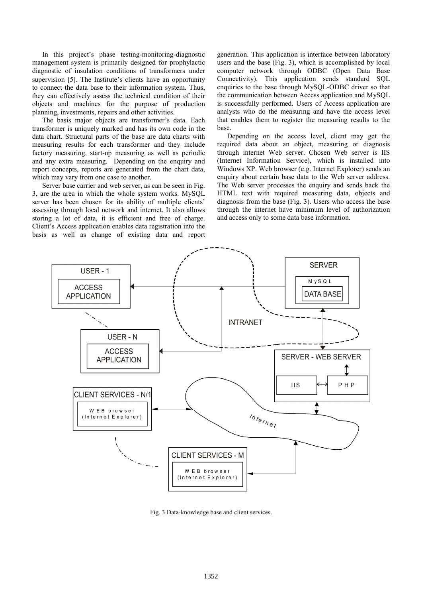In this project's phase testing-monitoring-diagnostic management system is primarily designed for prophylactic diagnostic of insulation conditions of transformers under supervision [5]. The Institute's clients have an opportunity to connect the data base to their information system. Thus, they can effectively assess the technical condition of their objects and machines for the purpose of production planning, investments, repairs and other activities.

The basis major objects are transformer's data. Each transformer is uniquely marked and has its own code in the data chart. Structural parts of the base are data charts with measuring results for each transformer and they include factory measuring, start-up measuring as well as periodic and any extra measuring. Depending on the enquiry and report concepts, reports are generated from the chart data, which may vary from one case to another.

Server base carrier and web server, as can be seen in Fig. 3, are the area in which the whole system works. MySQL server has been chosen for its ability of multiple clients' assessing through local network and internet. It also allows storing a lot of data, it is efficient and free of charge. Client's Access application enables data registration into the basis as well as change of existing data and report generation. This application is interface between laboratory users and the base (Fig. 3), which is accomplished by local computer network through ODBC (Open Data Base Connectivity). This application sends standard SQL enquiries to the base through MySQL-ODBC driver so that the communication between Access application and MySQL is successfully performed. Users of Access application are analysts who do the measuring and have the access level that enables them to register the measuring results to the base.

Depending on the access level, client may get the required data about an object, measuring or diagnosis through internet Web server. Chosen Web server is IIS (Internet Information Service), which is installed into Windows XP. Web browser (e.g. Internet Explorer) sends an enquiry about certain base data to the Web server address. The Web server processes the enquiry and sends back the HTML text with required measuring data, objects and diagnosis from the base (Fig. 3). Users who access the base through the internet have minimum level of authorization and access only to some data base information.



Fig. 3 Data-knowledge base and client services.